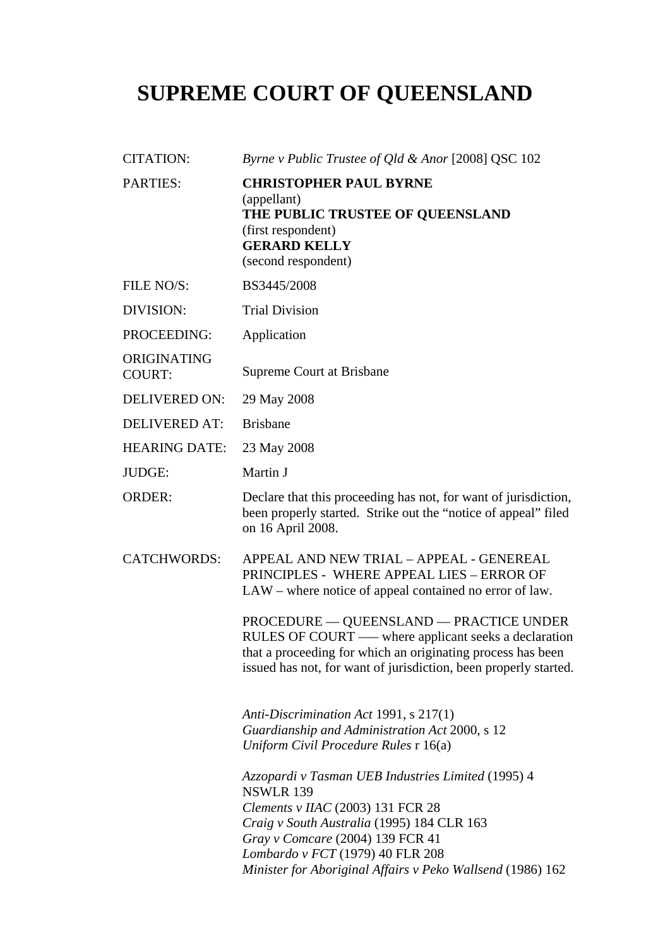# **SUPREME COURT OF QUEENSLAND**

| <b>CITATION:</b>             | Byrne v Public Trustee of Qld & Anor [2008] QSC 102                                                                                                                                                                                                                                               |
|------------------------------|---------------------------------------------------------------------------------------------------------------------------------------------------------------------------------------------------------------------------------------------------------------------------------------------------|
| <b>PARTIES:</b>              | <b>CHRISTOPHER PAUL BYRNE</b><br>(appellant)<br>THE PUBLIC TRUSTEE OF QUEENSLAND<br>(first respondent)<br><b>GERARD KELLY</b><br>(second respondent)                                                                                                                                              |
| FILE NO/S:                   | BS3445/2008                                                                                                                                                                                                                                                                                       |
| DIVISION:                    | <b>Trial Division</b>                                                                                                                                                                                                                                                                             |
| PROCEEDING:                  | Application                                                                                                                                                                                                                                                                                       |
| ORIGINATING<br><b>COURT:</b> | Supreme Court at Brisbane                                                                                                                                                                                                                                                                         |
| <b>DELIVERED ON:</b>         | 29 May 2008                                                                                                                                                                                                                                                                                       |
| <b>DELIVERED AT:</b>         | <b>Brisbane</b>                                                                                                                                                                                                                                                                                   |
| <b>HEARING DATE:</b>         | 23 May 2008                                                                                                                                                                                                                                                                                       |
| JUDGE:                       | Martin J                                                                                                                                                                                                                                                                                          |
| <b>ORDER:</b>                | Declare that this proceeding has not, for want of jurisdiction,<br>been properly started. Strike out the "notice of appeal" filed<br>on 16 April 2008.                                                                                                                                            |
| <b>CATCHWORDS:</b>           | APPEAL AND NEW TRIAL - APPEAL - GENEREAL<br>PRINCIPLES - WHERE APPEAL LIES - ERROR OF<br>LAW – where notice of appeal contained no error of law.                                                                                                                                                  |
|                              | <b>PROCEDURE — QUEENSLAND — PRACTICE UNDER</b><br>RULES OF COURT - where applicant seeks a declaration<br>that a proceeding for which an originating process has been<br>issued has not, for want of jurisdiction, been properly started.                                                         |
|                              | Anti-Discrimination Act 1991, s 217(1)<br>Guardianship and Administration Act 2000, s 12<br>Uniform Civil Procedure Rules r 16(a)                                                                                                                                                                 |
|                              | Azzopardi v Tasman UEB Industries Limited (1995) 4<br><b>NSWLR 139</b><br>Clements v IIAC $(2003)$ 131 FCR 28<br>Craig v South Australia (1995) 184 CLR 163<br>Gray v Comcare (2004) 139 FCR 41<br>Lombardo v FCT (1979) 40 FLR 208<br>Minister for Aboriginal Affairs v Peko Wallsend (1986) 162 |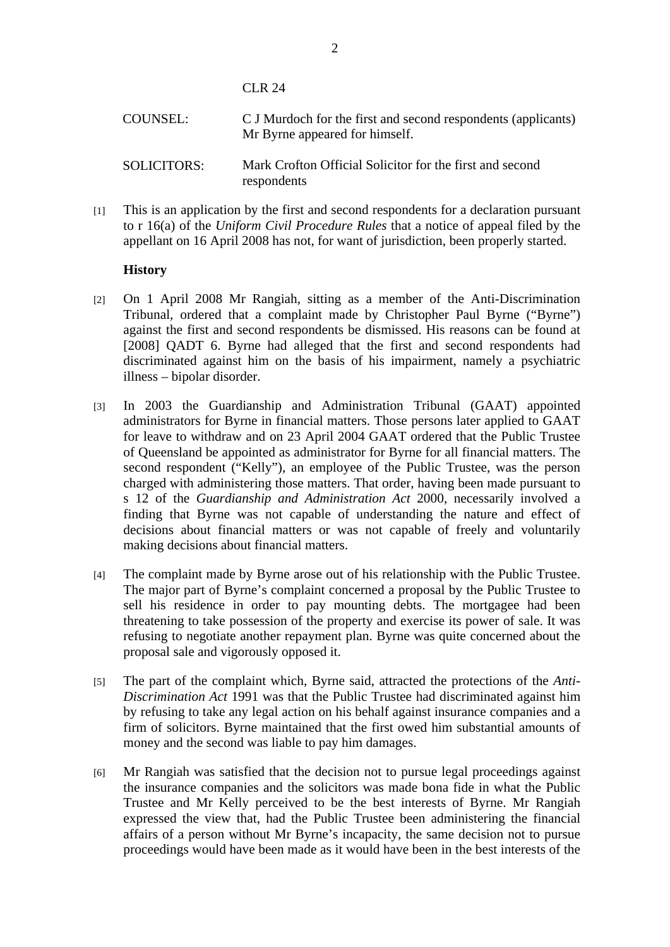CLR 24

respondents

| COUNSEL:           | C J Murdoch for the first and second respondents (applicants)<br>Mr Byrne appeared for himself. |
|--------------------|-------------------------------------------------------------------------------------------------|
| <b>SOLICITORS:</b> | Mark Crofton Official Solicitor for the first and second                                        |

[1] This is an application by the first and second respondents for a declaration pursuant to r 16(a) of the *Uniform Civil Procedure Rules* that a notice of appeal filed by the appellant on 16 April 2008 has not, for want of jurisdiction, been properly started.

#### **History**

- [2] On 1 April 2008 Mr Rangiah, sitting as a member of the Anti-Discrimination Tribunal, ordered that a complaint made by Christopher Paul Byrne ("Byrne") against the first and second respondents be dismissed. His reasons can be found at [2008] QADT 6. Byrne had alleged that the first and second respondents had discriminated against him on the basis of his impairment, namely a psychiatric illness – bipolar disorder.
- [3] In 2003 the Guardianship and Administration Tribunal (GAAT) appointed administrators for Byrne in financial matters. Those persons later applied to GAAT for leave to withdraw and on 23 April 2004 GAAT ordered that the Public Trustee of Queensland be appointed as administrator for Byrne for all financial matters. The second respondent ("Kelly"), an employee of the Public Trustee, was the person charged with administering those matters. That order, having been made pursuant to s 12 of the *Guardianship and Administration Act* 2000, necessarily involved a finding that Byrne was not capable of understanding the nature and effect of decisions about financial matters or was not capable of freely and voluntarily making decisions about financial matters.
- [4] The complaint made by Byrne arose out of his relationship with the Public Trustee. The major part of Byrne's complaint concerned a proposal by the Public Trustee to sell his residence in order to pay mounting debts. The mortgagee had been threatening to take possession of the property and exercise its power of sale. It was refusing to negotiate another repayment plan. Byrne was quite concerned about the proposal sale and vigorously opposed it.
- [5] The part of the complaint which, Byrne said, attracted the protections of the *Anti-Discrimination Act* 1991 was that the Public Trustee had discriminated against him by refusing to take any legal action on his behalf against insurance companies and a firm of solicitors. Byrne maintained that the first owed him substantial amounts of money and the second was liable to pay him damages.
- [6] Mr Rangiah was satisfied that the decision not to pursue legal proceedings against the insurance companies and the solicitors was made bona fide in what the Public Trustee and Mr Kelly perceived to be the best interests of Byrne. Mr Rangiah expressed the view that, had the Public Trustee been administering the financial affairs of a person without Mr Byrne's incapacity, the same decision not to pursue proceedings would have been made as it would have been in the best interests of the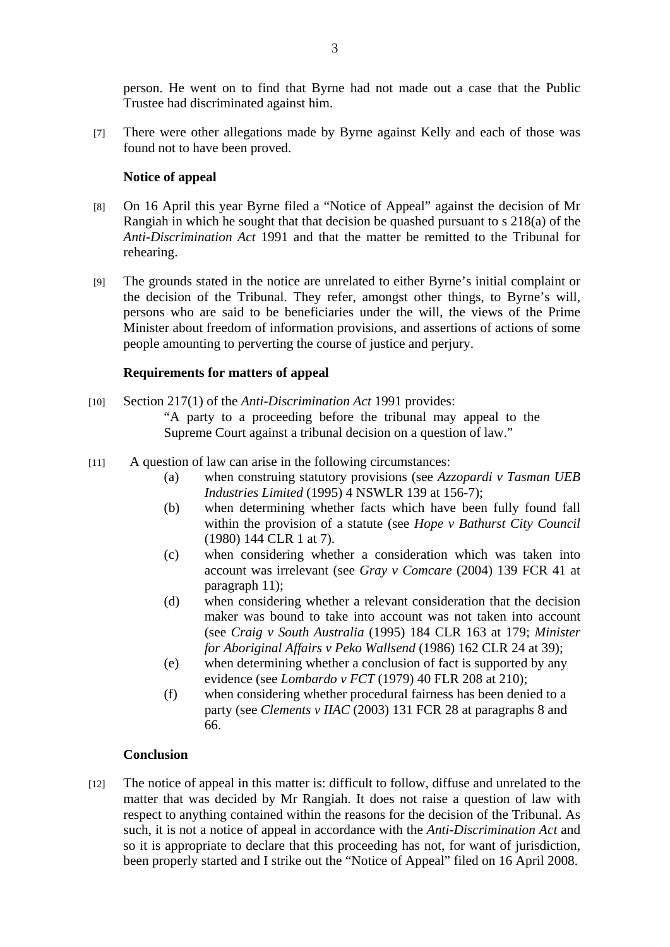person. He went on to find that Byrne had not made out a case that the Public Trustee had discriminated against him.

[7] There were other allegations made by Byrne against Kelly and each of those was found not to have been proved.

## **Notice of appeal**

- [8] On 16 April this year Byrne filed a "Notice of Appeal" against the decision of Mr Rangiah in which he sought that that decision be quashed pursuant to s 218(a) of the *Anti-Discrimination Act* 1991 and that the matter be remitted to the Tribunal for rehearing.
- [9] The grounds stated in the notice are unrelated to either Byrne's initial complaint or the decision of the Tribunal. They refer, amongst other things, to Byrne's will, persons who are said to be beneficiaries under the will, the views of the Prime Minister about freedom of information provisions, and assertions of actions of some people amounting to perverting the course of justice and perjury.

## **Requirements for matters of appeal**

- [10] Section 217(1) of the *Anti-Discrimination Act* 1991 provides: "A party to a proceeding before the tribunal may appeal to the Supreme Court against a tribunal decision on a question of law."
- [11] A question of law can arise in the following circumstances:
	- (a) when construing statutory provisions (see *Azzopardi v Tasman UEB Industries Limited* (1995) 4 NSWLR 139 at 156-7);
	- (b) when determining whether facts which have been fully found fall within the provision of a statute (see *Hope v Bathurst City Council* (1980) 144 CLR 1 at 7).
	- (c) when considering whether a consideration which was taken into account was irrelevant (see *Gray v Comcare* (2004) 139 FCR 41 at paragraph 11);
	- (d) when considering whether a relevant consideration that the decision maker was bound to take into account was not taken into account (see *Craig v South Australia* (1995) 184 CLR 163 at 179; *Minister for Aboriginal Affairs v Peko Wallsend* (1986) 162 CLR 24 at 39);
	- (e) when determining whether a conclusion of fact is supported by any evidence (see *Lombardo v FCT* (1979) 40 FLR 208 at 210);
	- (f) when considering whether procedural fairness has been denied to a party (see *Clements v IIAC* (2003) 131 FCR 28 at paragraphs 8 and 66.

#### **Conclusion**

[12] The notice of appeal in this matter is: difficult to follow, diffuse and unrelated to the matter that was decided by Mr Rangiah. It does not raise a question of law with respect to anything contained within the reasons for the decision of the Tribunal. As such, it is not a notice of appeal in accordance with the *Anti-Discrimination Act* and so it is appropriate to declare that this proceeding has not, for want of jurisdiction, been properly started and I strike out the "Notice of Appeal" filed on 16 April 2008.